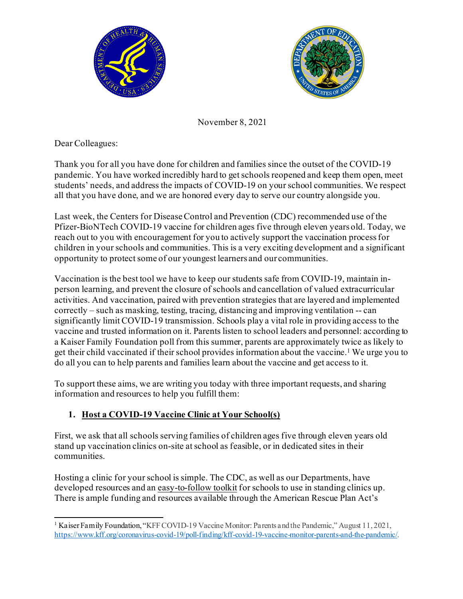



November 8, 2021

Dear Colleagues:

Thank you for all you have done for children and families since the outset of the COVID-19 pandemic. You have worked incredibly hard to get schools reopened and keep them open, meet students' needs, and address the impacts of COVID-19 on your school communities. We respect all that you have done, and we are honored every day to serve our country alongside you.

Last week, the Centers for Disease Control and Prevention (CDC) recommended use of the Pfizer-BioNTech COVID-19 vaccine for children ages five through eleven years old. Today, we reach out to you with encouragement for you to actively support the vaccination process for children in your schools and communities. This is a very exciting development and a significant opportunity to protect some of our youngest learners and our communities.

Vaccination is the best tool we have to keep our students safe from COVID-19, maintain inperson learning, and prevent the closure of schools and cancellation of valued extracurricular activities. And vaccination, paired with prevention strategies that are layered and implemented correctly – such as masking, testing, tracing, distancing and improving ventilation -- can significantly limit COVID-19 transmission. Schools play a vital role in providing access to the vaccine and trusted information on it. Parents listen to school leaders and personnel: according to a Kaiser Family Foundation poll from this summer, parents are approximately twice as likely to get their child vaccinated if their school provides information about the vaccine.[1](#page-0-0) We urge you to do all you can to help parents and families learn about the vaccine and get access to it.

To support these aims, we are writing you today with three important requests, and sharing information and resources to help you fulfill them:

## **1. Host a COVID-19 Vaccine Clinic at Your School(s)**

First, we ask that all schools serving families of children ages five through eleven years old stand up vaccination clinics on-site at school as feasible, or in dedicated sites in their communities.

Hosting a clinic for your school is simple. The CDC, as well as our Departments, have developed resources and a[n easy-to-follow toolkit](https://wecandothis.hhs.gov/guide-site-vaccination-clinic-schools) for schools to use in standing clinics up. There is ample funding and resources available through the American Rescue Plan Act's

<span id="page-0-0"></span><sup>&</sup>lt;sup>1</sup> Kaiser Family Foundation, "KFF COVID-19 Vaccine Monitor: Parents and the Pandemic," August 11, 2021, [https://www.kff.org/coronavirus-covid-19/poll-finding/kff-covid-19-vaccine-monitor-parents-and-the-pandemic/.](https://www.kff.org/coronavirus-covid-19/poll-finding/kff-covid-19-vaccine-monitor-parents-and-the-pandemic/)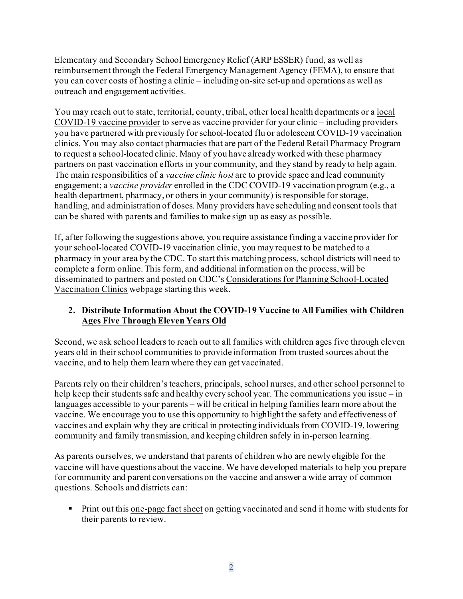Elementary and Secondary School Emergency Relief (ARP ESSER) fund, as well as reimbursement through the Federal Emergency Management Agency (FEMA), to ensure that you can cover costs of hosting a clinic – including on-site set-up and operations as well as outreach and engagement activities.

You may reach out to state, territorial, county, tribal, other local health departments or a local [COVID-19 vaccine provider](https://www.vaccines.gov/) to serve as vaccine provider for your clinic – including providers you have partnered with previously for school-located flu or adolescent COVID-19 vaccination clinics. You may also contact pharmacies that are part of th[e Federal Retail Pharmacy Program](https://www.cdc.gov/vaccines/covid-19/retail-pharmacy-program/index.html) to request a school-located clinic. Many of you have already worked with these pharmacy partners on past vaccination efforts in your community, and they stand by ready to help again. The main responsibilities of a *vaccine clinic host* are to provide space and lead community engagement; a *vaccine provider* enrolled in the CDC COVID-19 vaccination program (e.g., a health department, pharmacy, or others in your community) is responsible for storage, handling, and administration of doses. Many providers have scheduling and consent tools that can be shared with parents and families to make sign up as easy as possible.

If, after following the suggestions above, you require assistance finding a vaccine provider for your school-located COVID-19 vaccination clinic, you may request to be matched to a pharmacy in your area by the CDC. To start this matching process, school districts will need to complete a form online. This form, and additional information on the process, will be disseminated to partners and posted on CDC'[s Considerations for Planning School-Located](https://www.cdc.gov/vaccines/covid-19/planning/school-located-clinics.html)  [Vaccination Clinics](https://www.cdc.gov/vaccines/covid-19/planning/school-located-clinics.html) webpage starting this week.

## **2. Distribute Information About the COVID-19 Vaccine to All Families with Children Ages Five Through Eleven Years Old**

Second, we ask school leaders to reach out to all families with children ages five through eleven years old in their school communities to provide information from trusted sources about the vaccine, and to help them learn where they can get vaccinated.

Parents rely on their children's teachers, principals, school nurses, and other school personnel to help keep their students safe and healthy every school year. The communications you issue – in languages accessible to your parents – will be critical in helping families learn more about the vaccine. We encourage you to use this opportunity to highlight the safety and effectiveness of vaccines and explain why they are critical in protecting individuals from COVID-19, lowering community and family transmission, and keeping children safely in in-person learning.

As parents ourselves, we understand that parents of children who are newly eligible for the vaccine will have questions about the vaccine. We have developed materials to help you prepare for community and parent conversations on the vaccine and answer a wide array of common questions. Schools and districts can:

 Print out this [one-page fact sheet](https://wecandothis.hhs.gov/frequently-asked-questions-from-parents-guardians-about-covid-19-and-the-vaccines) on getting vaccinated and send it home with students for their parents to review.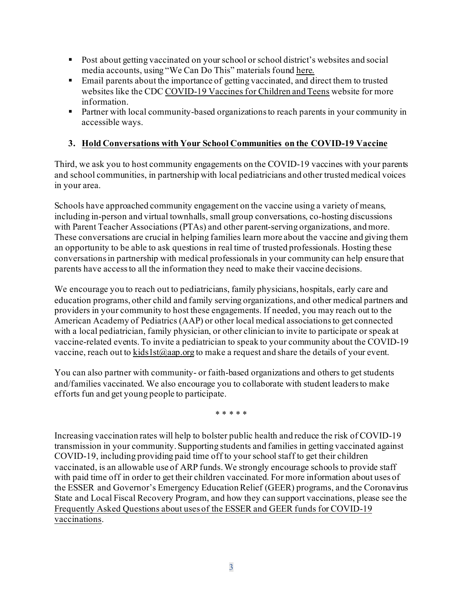- Post about getting vaccinated on your school or school district's websites and social media accounts, using "We Can Do This" materials foun[d here.](https://wecandothis.hhs.gov/resources-about-covid-19-vaccinations-for-children-age-5plus)
- Email parents about the importance of getting vaccinated, and direct them to trusted websites like the CD[C COVID-19 Vaccines for Children and Teens](https://www.cdc.gov/coronavirus/2019-ncov/vaccines/recommendations/children-teens.html?CDC_AA_refVal=https%3A%2F%2Fwww.cdc.gov%2Fcoronavirus%2F2019-ncov%2Fvaccines%2Frecommendations%2Fadolescents.html) website for more information.
- **Partner with local community-based organizations to reach parents in your community in** accessible ways.

## **3. Hold Conversations with Your School Communities on the COVID-19 Vaccine**

Third, we ask you to host community engagements on the COVID-19 vaccines with your parents and school communities, in partnership with local pediatricians and other trusted medical voices in your area.

Schools have approached community engagement on the vaccine using a variety of means, including in-person and virtual townhalls, small group conversations, co-hosting discussions with Parent Teacher Associations (PTAs) and other parent-serving organizations, and more. These conversations are crucial in helping families learn more about the vaccine and giving them an opportunity to be able to ask questions in real time of trusted professionals. Hosting these conversationsin partnership with medical professionals in your community can help ensure that parents have access to all the information they need to make their vaccine decisions.

We encourage you to reach out to pediatricians, family physicians, hospitals, early care and education programs, other child and family serving organizations, and other medical partners and providers in your community to host these engagements. If needed, you may reach out to the American Academy of Pediatrics (AAP) or other local medical associations to get connected with a local pediatrician, family physician, or other clinician to invite to participate or speak at vaccine-related events. To invite a pediatrician to speak to your community about the COVID-19 vaccine, reach out t[o kids1st@aap.org](mailto:kids1st@aap.org) to make a request and share the details of your event.

You can also partner with community- or faith-based organizations and others to get students and/families vaccinated. We also encourage you to collaborate with student leaders to make efforts fun and get young people to participate.

\* \* \* \* \*

Increasing vaccination rates will help to bolster public health and reduce the risk of COVID-19 transmission in your community. Supporting students and families in getting vaccinated against COVID-19, including providing paid time off to your school staff to get their children vaccinated, is an allowable use of ARP funds. We strongly encourage schools to provide staff with paid time off in order to get their children vaccinated. For more information about uses of the ESSER and Governor's Emergency Education Relief (GEER) programs, and the Coronavirus State and Local Fiscal Recovery Program, and how they can support vaccinations, please see the [Frequently Asked Questions about uses of the ESSER and GEER funds for COVID-19](https://oese.ed.gov/files/2021/05/ESSER.GEER_.FAQs_5.26.21_745AM_FINALb0cd6833f6f46e03ba2d97d30aff953260028045f9ef3b18ea602db4b32b1d99.pdf)  [vaccinations](https://oese.ed.gov/files/2021/05/ESSER.GEER_.FAQs_5.26.21_745AM_FINALb0cd6833f6f46e03ba2d97d30aff953260028045f9ef3b18ea602db4b32b1d99.pdf).